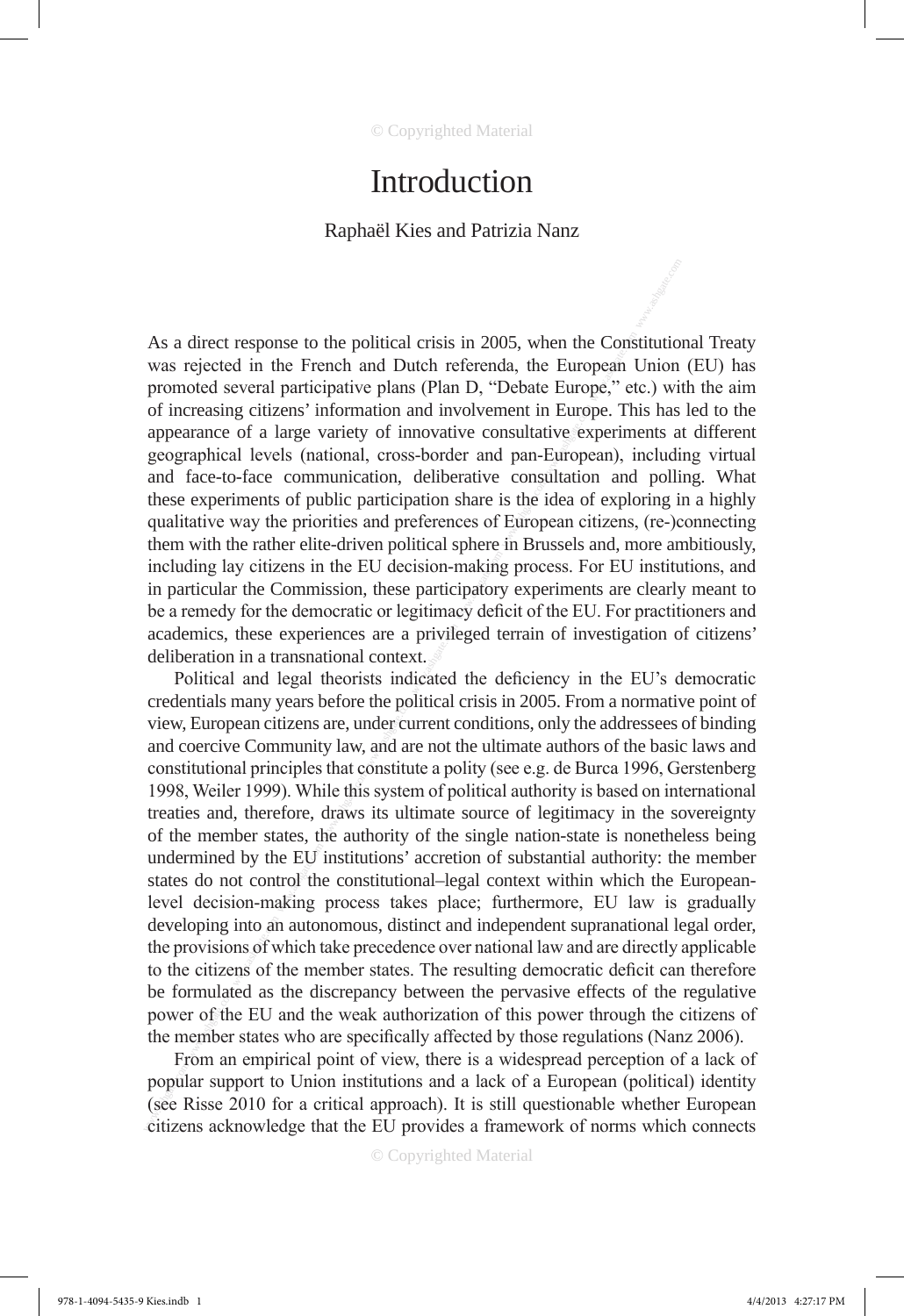# Introduction

# Raphaël Kies and Patrizia Nanz

As a direct response to the political crisis in 2005, when the Constitutional Treaty was rejected in the French and Dutch referenda, the European Union (EU) has promoted several participative plans (Plan D, "Debate Europe," etc.) with the aim of increasing citizens' information and involvement in Europe. This has led to the appearance of a large variety of innovative consultative experiments at different geographical levels (national, cross-border and pan-European), including virtual and face-to-face communication, deliberative consultation and polling. What these experiments of public participation share is the idea of exploring in a highly qualitative way the priorities and preferences of European citizens, (re-)connecting them with the rather elite-driven political sphere in Brussels and, more ambitiously, including lay citizens in the EU decision-making process. For EU institutions, and in particular the Commission, these participatory experiments are clearly meant to be a remedy for the democratic or legitimacy deficit of the EU. For practitioners and academics, these experiences are a privileged terrain of investigation of citizens' deliberation in a transnational context.

As a direct response to the political crisis in 2005, when the Constitution promoted several participative plans (Plan D, "Debate Europe," etc.) wi<br>of increasing citizens' information and involvement in Europe, This has<br>g Political and legal theorists indicated the deficiency in the EU's democratic credentials many years before the political crisis in 2005. From a normative point of view, European citizens are, under current conditions, only the addressees of binding and coercive Community law, and are not the ultimate authors of the basic laws and constitutional principles that constitute a polity (see e.g. de Burca 1996, Gerstenberg 1998, Weiler 1999). While this system of political authority is based on international treaties and, therefore, draws its ultimate source of legitimacy in the sovereignty of the member states, the authority of the single nation-state is nonetheless being undermined by the EU institutions' accretion of substantial authority: the member states do not control the constitutional–legal context within which the Europeanlevel decision-making process takes place; furthermore, EU law is gradually developing into an autonomous, distinct and independent supranational legal order, the provisions of which take precedence over national law and are directly applicable to the citizens of the member states. The resulting democratic deficit can therefore be formulated as the discrepancy between the pervasive effects of the regulative power of the EU and the weak authorization of this power through the citizens of the member states who are specifically affected by those regulations (Nanz 2006).

From an empirical point of view, there is a widespread perception of a lack of popular support to Union institutions and a lack of a European (political) identity (see Risse 2010 for a critical approach). It is still questionable whether European citizens acknowledge that the EU provides a framework of norms which connects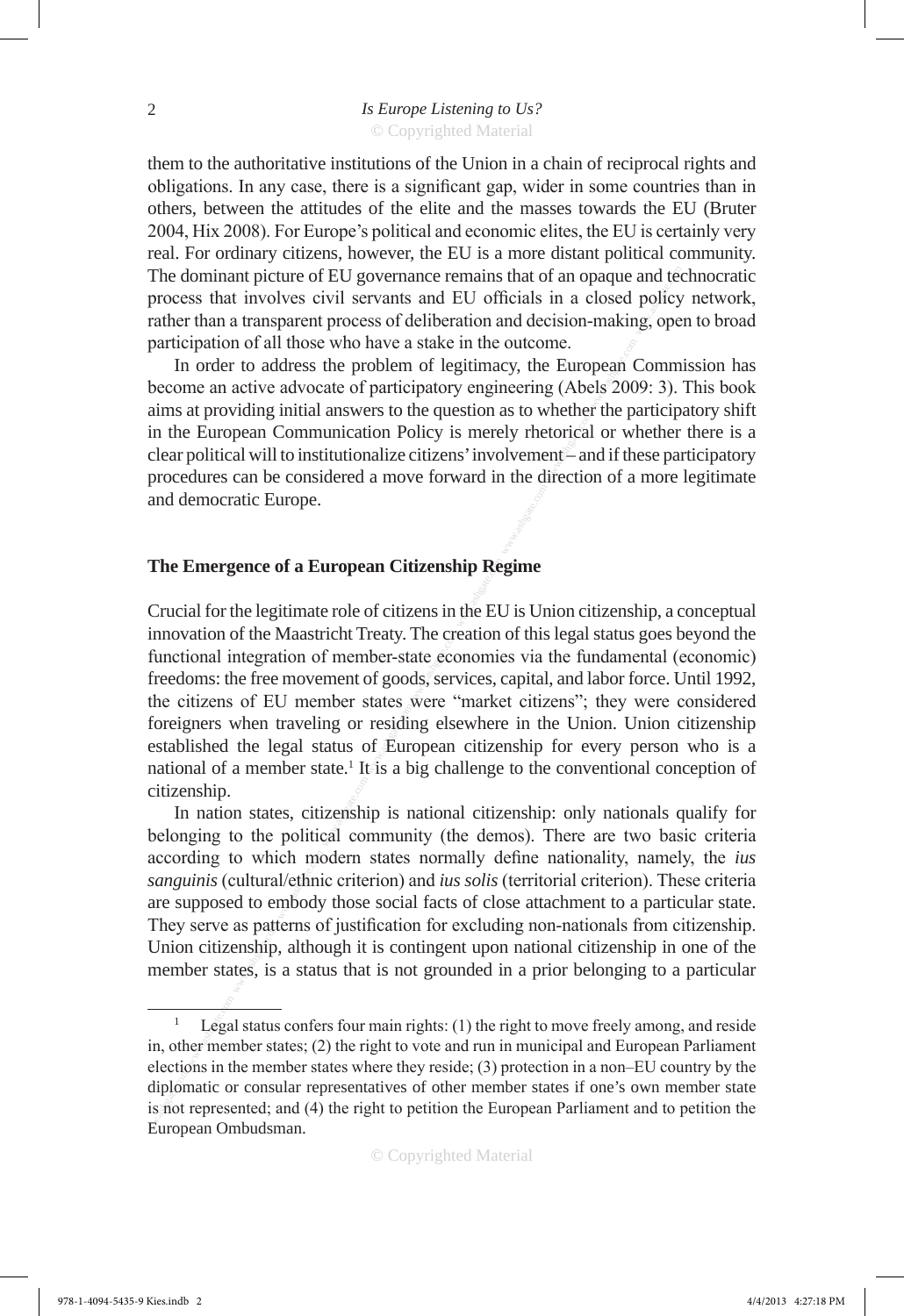them to the authoritative institutions of the Union in a chain of reciprocal rights and obligations. In any case, there is a significant gap, wider in some countries than in others, between the attitudes of the elite and the masses towards the EU (Bruter 2004, Hix 2008). For Europe's political and economic elites, the EU is certainly very real. For ordinary citizens, however, the EU is a more distant political community. The dominant picture of EU governance remains that of an opaque and technocratic process that involves civil servants and EU officials in a closed policy network, rather than a transparent process of deliberation and decision-making, open to broad participation of all those who have a stake in the outcome.

In order to address the problem of legitimacy, the European Commission has become an active advocate of participatory engineering (Abels 2009: 3). This book aims at providing initial answers to the question as to whether the participatory shift in the European Communication Policy is merely rhetorical or whether there is a clear political will to institutionalize citizens' involvement – and if these participatory procedures can be considered a move forward in the direction of a more legitimate and democratic Europe.

## **The Emergence of a European Citizenship Regime**

The dominant picture of EU governance remains that of an elosed policy<br>process that involves civil servants and EU officials in a closed policy<br>participation of all those who have a stake in the outcome.<br>Departicipation o Crucial for the legitimate role of citizens in the EU is Union citizenship, a conceptual innovation of the Maastricht Treaty. The creation of this legal status goes beyond the functional integration of member-state economies via the fundamental (economic) freedoms: the free movement of goods, services, capital, and labor force. Until 1992, the citizens of EU member states were "market citizens"; they were considered foreigners when traveling or residing elsewhere in the Union. Union citizenship established the legal status of European citizenship for every person who is a national of a member state.<sup>1</sup> It is a big challenge to the conventional conception of citizenship.

In nation states, citizenship is national citizenship: only nationals qualify for belonging to the political community (the demos). There are two basic criteria according to which modern states normally define nationality, namely, the *ius sanguinis* (cultural/ethnic criterion) and *ius solis* (territorial criterion). These criteria are supposed to embody those social facts of close attachment to a particular state. They serve as patterns of justification for excluding non-nationals from citizenship. Union citizenship, although it is contingent upon national citizenship in one of the member states, is a status that is not grounded in a prior belonging to a particular

© Copyrighted Material

Legal status confers four main rights: (1) the right to move freely among, and reside in, other member states; (2) the right to vote and run in municipal and European Parliament elections in the member states where they reside; (3) protection in a non–EU country by the diplomatic or consular representatives of other member states if one's own member state is not represented; and (4) the right to petition the European Parliament and to petition the European Ombudsman.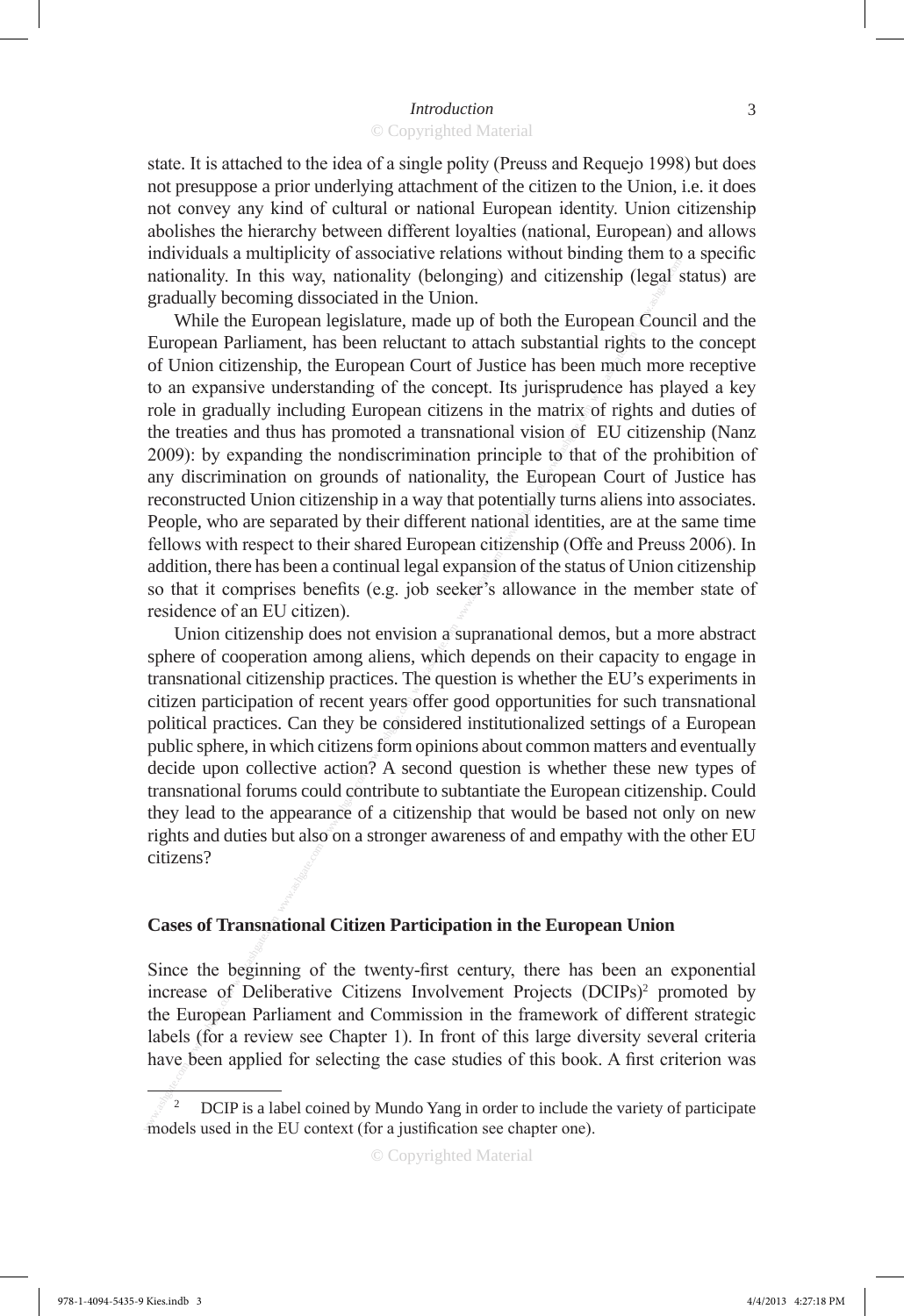state. It is attached to the idea of a single polity (Preuss and Requejo 1998) but does not presuppose a prior underlying attachment of the citizen to the Union, i.e. it does not convey any kind of cultural or national European identity. Union citizenship abolishes the hierarchy between different loyalties (national, European) and allows individuals a multiplicity of associative relations without binding them to a specific nationality. In this way, nationality (belonging) and citizenship (legal status) are gradually becoming dissociated in the Union.

nationality. In this way, nationality (belonging) and citizenship (legal<br>gradual) becoming dissociated in the Union.<br>Turopean Parliament, has been reluctant to attach substantial rights to the<br>Com citizensihy, the Europea While the European legislature, made up of both the European Council and the European Parliament, has been reluctant to attach substantial rights to the concept of Union citizenship, the European Court of Justice has been much more receptive to an expansive understanding of the concept. Its jurisprudence has played a key role in gradually including European citizens in the matrix of rights and duties of the treaties and thus has promoted a transnational vision of EU citizenship (Nanz 2009): by expanding the nondiscrimination principle to that of the prohibition of any discrimination on grounds of nationality, the European Court of Justice has reconstructed Union citizenship in a way that potentially turns aliens into associates. People, who are separated by their different national identities, are at the same time fellows with respect to their shared European citizenship (Offe and Preuss 2006). In addition, there has been a continual legal expansion of the status of Union citizenship so that it comprises benefits (e.g. job seeker's allowance in the member state of residence of an EU citizen).

Union citizenship does not envision a supranational demos, but a more abstract sphere of cooperation among aliens, which depends on their capacity to engage in transnational citizenship practices. The question is whether the EU's experiments in citizen participation of recent years offer good opportunities for such transnational political practices. Can they be considered institutionalized settings of a European public sphere, in which citizens form opinions about common matters and eventually decide upon collective action? A second question is whether these new types of transnational forums could contribute to subtantiate the European citizenship. Could they lead to the appearance of a citizenship that would be based not only on new rights and duties but also on a stronger awareness of and empathy with the other EU citizens?

#### **Cases of Transnational Citizen Participation in the European Union**

Since the beginning of the twenty-first century, there has been an exponential increase of Deliberative Citizens Involvement Projects (DCIPs)<sup>2</sup> promoted by the European Parliament and Commission in the framework of different strategic labels (for a review see Chapter 1). In front of this large diversity several criteria have been applied for selecting the case studies of this book. A first criterion was

<sup>2</sup> DCIP is a label coined by Mundo Yang in order to include the variety of participate models used in the EU context (for a justification see chapter one).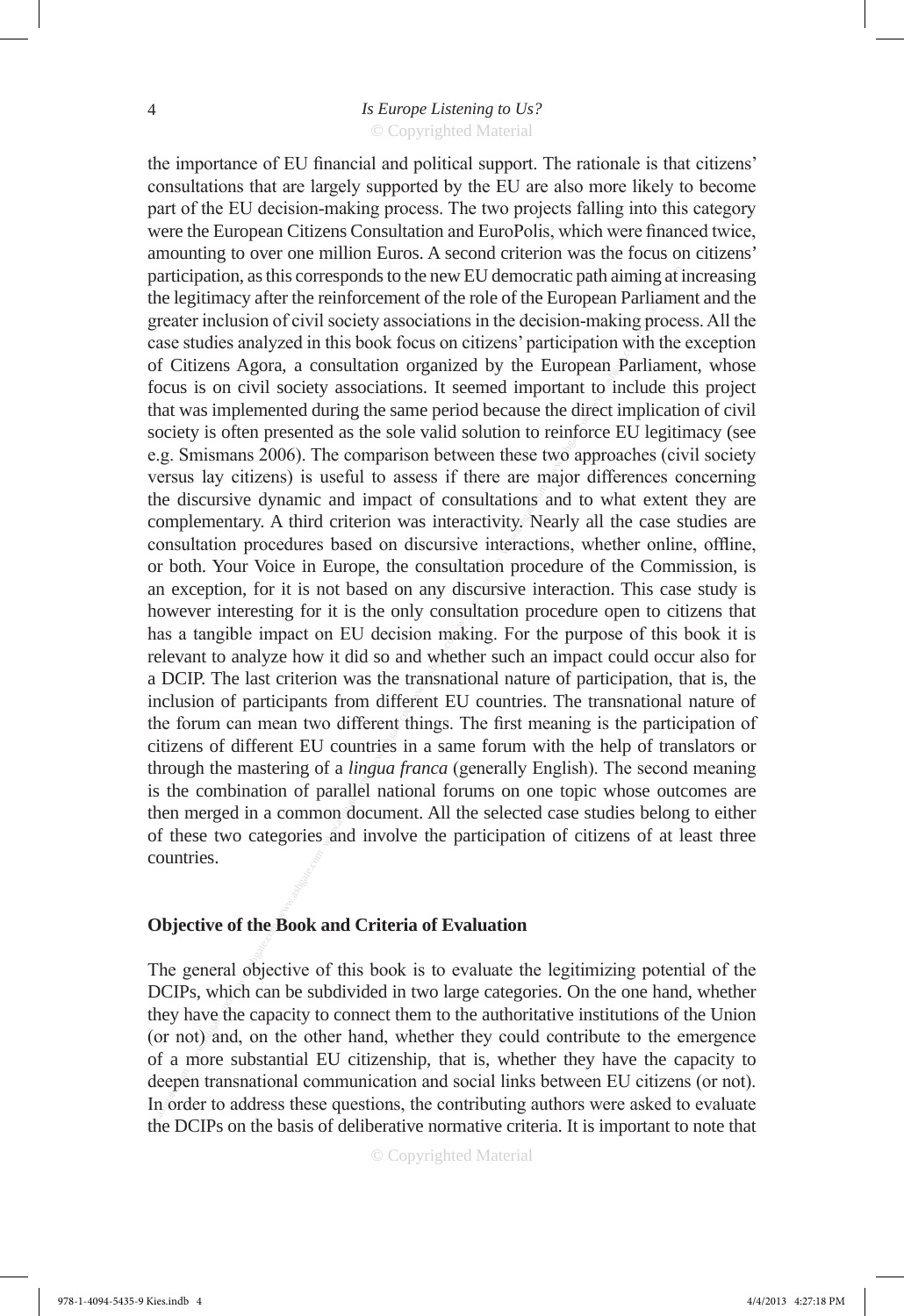© Copyrighted Material

participation, as this corresponds to the new EU democratie partialment of the competent of the cole of the Succesom Partialment of the cole of the Succesom Partialment of neutros concellations with the book focus on civil the importance of EU financial and political support. The rationale is that citizens' consultations that are largely supported by the EU are also more likely to become part of the EU decision-making process. The two projects falling into this category were the European Citizens Consultation and EuroPolis, which were financed twice, amounting to over one million Euros. A second criterion was the focus on citizens' participation, as this corresponds to the new EU democratic path aiming at increasing the legitimacy after the reinforcement of the role of the European Parliament and the greater inclusion of civil society associations in the decision-making process. All the case studies analyzed in this book focus on citizens' participation with the exception of Citizens Agora, a consultation organized by the European Parliament, whose focus is on civil society associations. It seemed important to include this project that was implemented during the same period because the direct implication of civil society is often presented as the sole valid solution to reinforce EU legitimacy (see e.g. Smismans 2006). The comparison between these two approaches (civil society versus lay citizens) is useful to assess if there are major differences concerning the discursive dynamic and impact of consultations and to what extent they are complementary. A third criterion was interactivity. Nearly all the case studies are consultation procedures based on discursive interactions, whether online, offline, or both. Your Voice in Europe, the consultation procedure of the Commission, is an exception, for it is not based on any discursive interaction. This case study is however interesting for it is the only consultation procedure open to citizens that has a tangible impact on EU decision making. For the purpose of this book it is relevant to analyze how it did so and whether such an impact could occur also for a DCIP. The last criterion was the transnational nature of participation, that is, the inclusion of participants from different EU countries. The transnational nature of the forum can mean two different things. The first meaning is the participation of citizens of different EU countries in a same forum with the help of translators or through the mastering of a *lingua franca* (generally English). The second meaning is the combination of parallel national forums on one topic whose outcomes are then merged in a common document. All the selected case studies belong to either of these two categories and involve the participation of citizens of at least three countries.

## **Objective of the Book and Criteria of Evaluation**

The general objective of this book is to evaluate the legitimizing potential of the DCIPs, which can be subdivided in two large categories. On the one hand, whether they have the capacity to connect them to the authoritative institutions of the Union (or not) and, on the other hand, whether they could contribute to the emergence of a more substantial EU citizenship, that is, whether they have the capacity to deepen transnational communication and social links between EU citizens (or not). In order to address these questions, the contributing authors were asked to evaluate the DCIPs on the basis of deliberative normative criteria. It is important to note that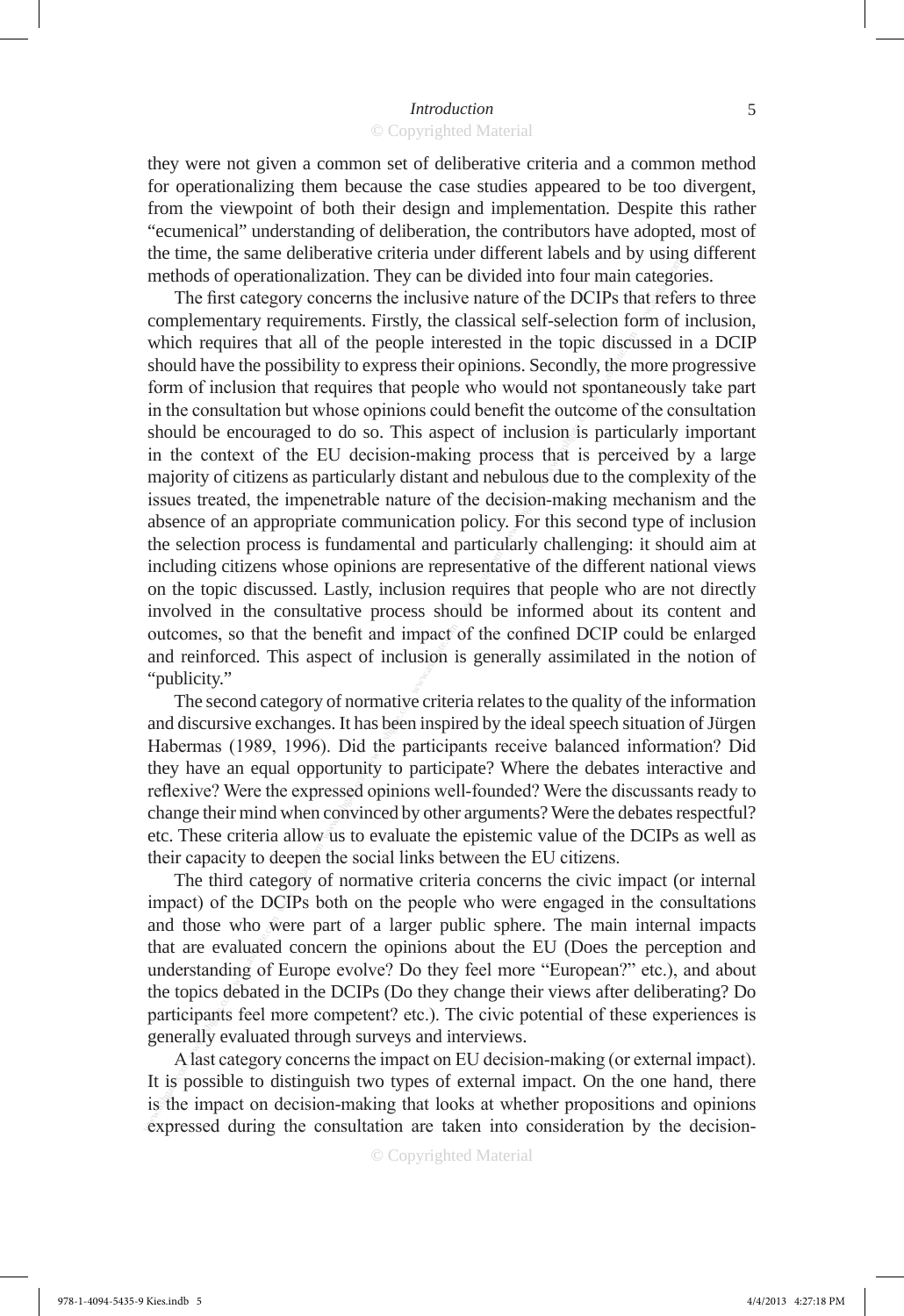they were not given a common set of deliberative criteria and a common method for operationalizing them because the case studies appeared to be too divergent, from the viewpoint of both their design and implementation. Despite this rather "ecumenical" understanding of deliberation, the contributors have adopted, most of the time, the same deliberative criteria under different labels and by using different methods of operationalization. They can be divided into four main categories.

methods of operationalization. They can be divided into four main catego<br>
The first category concensus the inclusive nature of the DCIPs that relies<br>or complementary requirements. Firstly, the classical self-selection for The first category concerns the inclusive nature of the DCIPs that refers to three complementary requirements. Firstly, the classical self-selection form of inclusion, which requires that all of the people interested in the topic discussed in a DCIP should have the possibility to express their opinions. Secondly, the more progressive form of inclusion that requires that people who would not spontaneously take part in the consultation but whose opinions could benefit the outcome of the consultation should be encouraged to do so. This aspect of inclusion is particularly important in the context of the EU decision-making process that is perceived by a large majority of citizens as particularly distant and nebulous due to the complexity of the issues treated, the impenetrable nature of the decision-making mechanism and the absence of an appropriate communication policy. For this second type of inclusion the selection process is fundamental and particularly challenging: it should aim at including citizens whose opinions are representative of the different national views on the topic discussed. Lastly, inclusion requires that people who are not directly involved in the consultative process should be informed about its content and outcomes, so that the benefit and impact of the confined DCIP could be enlarged and reinforced. This aspect of inclusion is generally assimilated in the notion of "publicity."

The second category of normative criteria relates to the quality of the information and discursive exchanges. It has been inspired by the ideal speech situation of Jürgen Habermas (1989, 1996). Did the participants receive balanced information? Did they have an equal opportunity to participate? Where the debates interactive and reflexive? Were the expressed opinions well-founded? Were the discussants ready to change their mind when convinced by other arguments? Were the debates respectful? etc. These criteria allow us to evaluate the epistemic value of the DCIPs as well as their capacity to deepen the social links between the EU citizens.

The third category of normative criteria concerns the civic impact (or internal impact) of the DCIPs both on the people who were engaged in the consultations and those who were part of a larger public sphere. The main internal impacts that are evaluated concern the opinions about the EU (Does the perception and understanding of Europe evolve? Do they feel more "European?" etc.), and about the topics debated in the DCIPs (Do they change their views after deliberating? Do participants feel more competent? etc.). The civic potential of these experiences is generally evaluated through surveys and interviews.

A last category concerns the impact on EU decision-making (or external impact). It is possible to distinguish two types of external impact. On the one hand, there is the impact on decision-making that looks at whether propositions and opinions expressed during the consultation are taken into consideration by the decision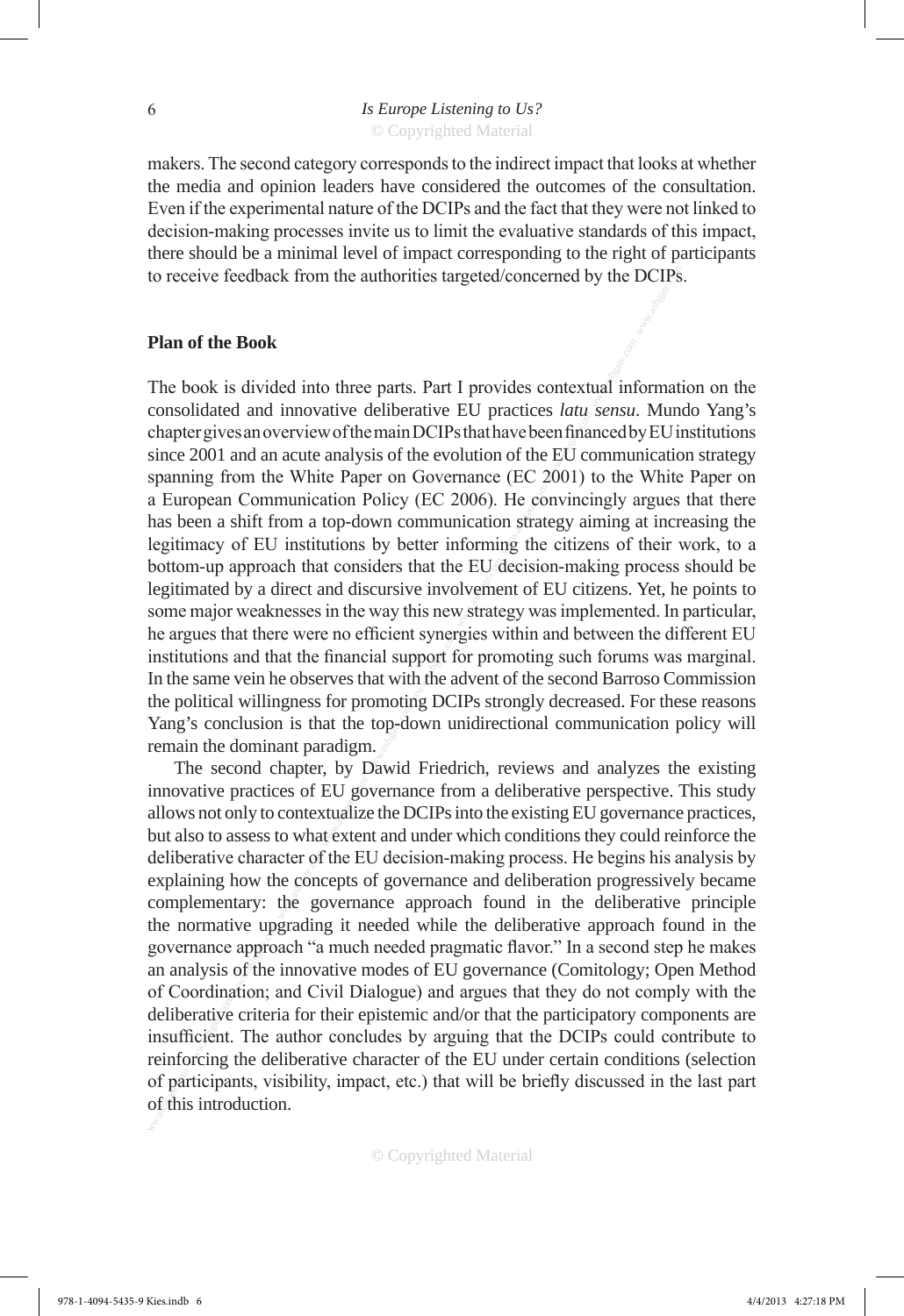makers. The second category corresponds to the indirect impact that looks at whether the media and opinion leaders have considered the outcomes of the consultation. Even if the experimental nature of the DCIPs and the fact that they were not linked to decision-making processes invite us to limit the evaluative standards of this impact, there should be a minimal level of impact corresponding to the right of participants to receive feedback from the authorities targeted/concerned by the DCIPs.

#### **Plan of the Book**

to receive feedback from the authorities targeted/concerned by the DCIPs<br>The book is divided into three parts. Part I provides contextual information<br>considered and innovative deliberative EU practices *latu* arena. Mum<br>c The book is divided into three parts. Part I provides contextual information on the consolidated and innovative deliberative EU practices *latu sensu*. Mundo Yang's chapter gives an overview of the main DCIPs that have been financed by EU institutions since 2001 and an acute analysis of the evolution of the EU communication strategy spanning from the White Paper on Governance (EC 2001) to the White Paper on a European Communication Policy (EC 2006). He convincingly argues that there has been a shift from a top-down communication strategy aiming at increasing the legitimacy of EU institutions by better informing the citizens of their work, to a bottom-up approach that considers that the EU decision-making process should be legitimated by a direct and discursive involvement of EU citizens. Yet, he points to some major weaknesses in the way this new strategy was implemented. In particular, he argues that there were no efficient synergies within and between the different EU institutions and that the financial support for promoting such forums was marginal. In the same vein he observes that with the advent of the second Barroso Commission the political willingness for promoting DCIPs strongly decreased. For these reasons Yang's conclusion is that the top-down unidirectional communication policy will remain the dominant paradigm.

The second chapter, by Dawid Friedrich, reviews and analyzes the existing innovative practices of EU governance from a deliberative perspective. This study allows not only to contextualize the DCIPs into the existing EU governance practices, but also to assess to what extent and under which conditions they could reinforce the deliberative character of the EU decision-making process. He begins his analysis by explaining how the concepts of governance and deliberation progressively became complementary: the governance approach found in the deliberative principle the normative upgrading it needed while the deliberative approach found in the governance approach "a much needed pragmatic flavor." In a second step he makes an analysis of the innovative modes of EU governance (Comitology; Open Method of Coordination; and Civil Dialogue) and argues that they do not comply with the deliberative criteria for their epistemic and/or that the participatory components are insufficient. The author concludes by arguing that the DCIPs could contribute to reinforcing the deliberative character of the EU under certain conditions (selection of participants, visibility, impact, etc.) that will be briefly discussed in the last part of this introduction.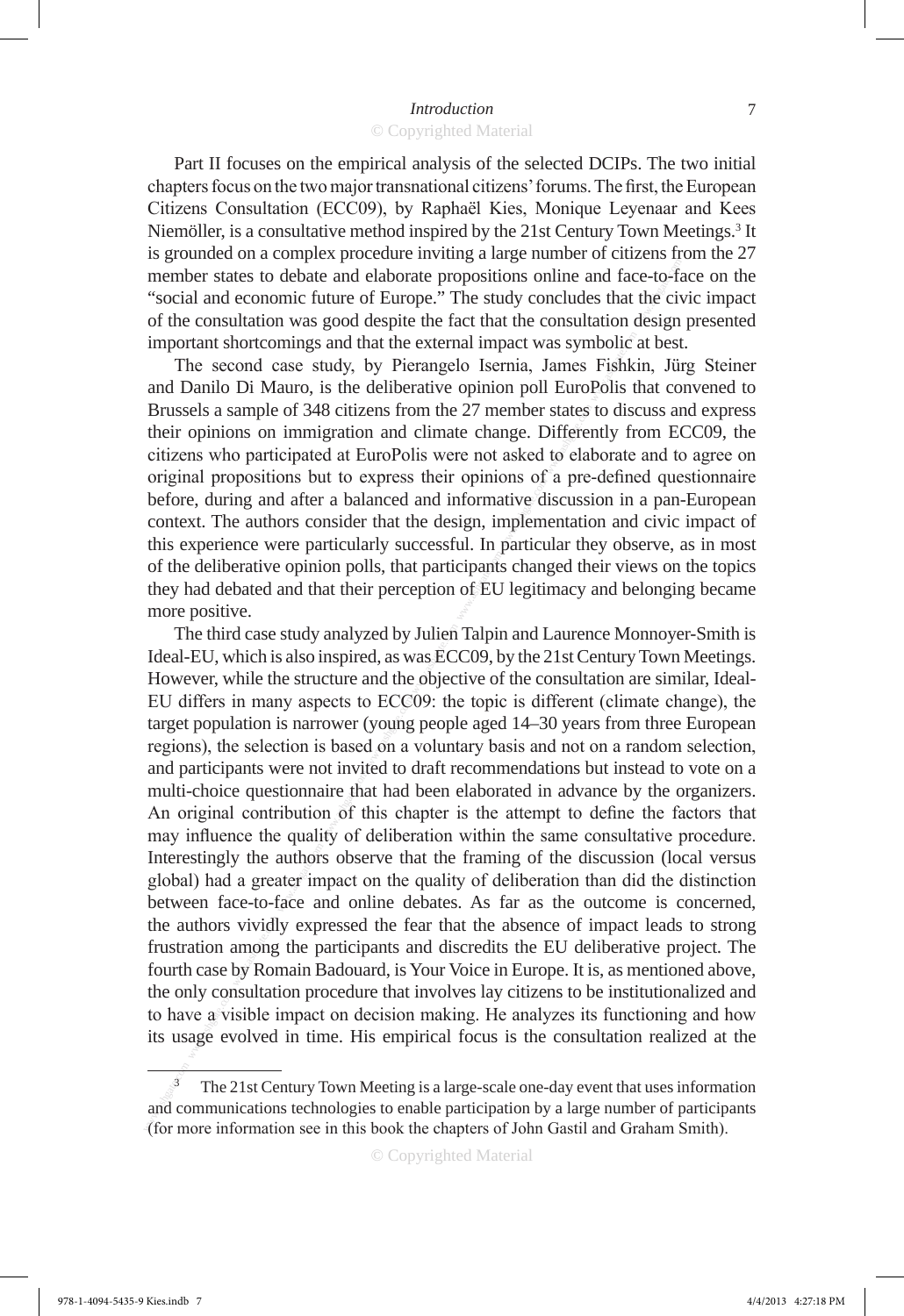Part II focuses on the empirical analysis of the selected DCIPs. The two initial chapters focus on the two major transnational citizens' forums. The first, the European Citizens Consultation (ECC09), by Raphaël Kies, Monique Leyenaar and Kees Niemöller, is a consultative method inspired by the 21st Century Town Meetings.<sup>3</sup> It is grounded on a complex procedure inviting a large number of citizens from the 27 member states to debate and elaborate propositions online and face-to-face on the "social and economic future of Europe." The study concludes that the civic impact of the consultation was good despite the fact that the consultation design presented important shortcomings and that the external impact was symbolic at best.

The second case study, by Pierangelo Isernia, James Fishkin, Jürg Steiner and Danilo Di Mauro, is the deliberative opinion poll EuroPolis that convened to Brussels a sample of 348 citizens from the 27 member states to discuss and express their opinions on immigration and climate change. Differently from ECC09, the citizens who participated at EuroPolis were not asked to elaborate and to agree on original propositions but to express their opinions of a pre-defined questionnaire before, during and after a balanced and informative discussion in a pan-European context. The authors consider that the design, implementation and civic impact of this experience were particularly successful. In particular they observe, as in most of the deliberative opinion polls, that participants changed their views on the topics they had debated and that their perception of EU legitimacy and belonging became more positive.

member states to debiae and elaborate propositions online and frace-to-"social and comonic future of Europy:" The sulty oncludes that the city of the consultation was good despite the fact that the consultation design impo The third case study analyzed by Julien Talpin and Laurence Monnoyer-Smith is Ideal-EU, which is also inspired, as was ECC09, by the 21st Century Town Meetings. However, while the structure and the objective of the consultation are similar, Ideal-EU differs in many aspects to ECC09: the topic is different (climate change), the target population is narrower (young people aged 14–30 years from three European regions), the selection is based on a voluntary basis and not on a random selection, and participants were not invited to draft recommendations but instead to vote on a multi-choice questionnaire that had been elaborated in advance by the organizers. An original contribution of this chapter is the attempt to define the factors that may influence the quality of deliberation within the same consultative procedure. Interestingly the authors observe that the framing of the discussion (local versus global) had a greater impact on the quality of deliberation than did the distinction between face-to-face and online debates. As far as the outcome is concerned, the authors vividly expressed the fear that the absence of impact leads to strong frustration among the participants and discredits the EU deliberative project. The fourth case by Romain Badouard, is Your Voice in Europe. It is, as mentioned above, the only consultation procedure that involves lay citizens to be institutionalized and to have a visible impact on decision making. He analyzes its functioning and how its usage evolved in time. His empirical focus is the consultation realized at the

<sup>3</sup> The 21st Century Town Meeting is a large-scale one-day event that uses information and communications technologies to enable participation by a large number of participants (for more information see in this book the chapters of John Gastil and Graham Smith).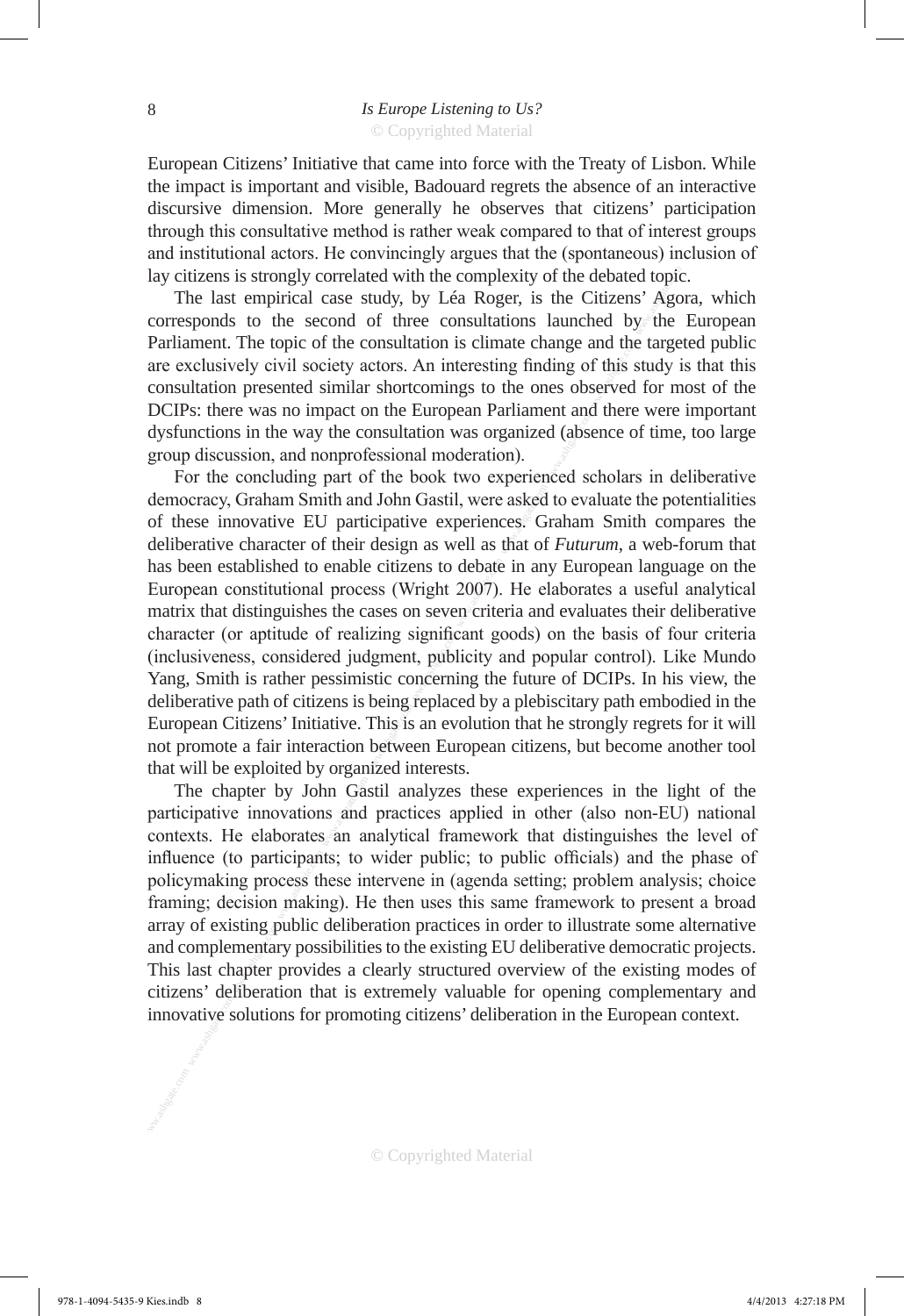European Citizens' Initiative that came into force with the Treaty of Lisbon. While the impact is important and visible, Badouard regrets the absence of an interactive discursive dimension. More generally he observes that citizens' participation through this consultative method is rather weak compared to that of interest groups and institutional actors. He convincingly argues that the (spontaneous) inclusion of lay citizens is strongly correlated with the complexity of the debated topic.

The last empirical case study, by Léa Roger, is the Citizens' Agora, which corresponds to the second of three consultations launched by the European Parliament. The topic of the consultation is climate change and the targeted public are exclusively civil society actors. An interesting finding of this study is that this consultation presented similar shortcomings to the ones observed for most of the DCIPs: there was no impact on the European Parliament and there were important dysfunctions in the way the consultation was organized (absence of time, too large group discussion, and nonprofessional moderation).

lay citizens is strongly correlated with the complexity of the Chitzens' Agger, corresponds to the second of three consultations is almoated by the Pariament. The topic of the consultation is eilenventioned by the are exc For the concluding part of the book two experienced scholars in deliberative democracy, Graham Smith and John Gastil, were asked to evaluate the potentialities of these innovative EU participative experiences. Graham Smith compares the deliberative character of their design as well as that of *Futurum*, a web-forum that has been established to enable citizens to debate in any European language on the European constitutional process (Wright 2007). He elaborates a useful analytical matrix that distinguishes the cases on seven criteria and evaluates their deliberative character (or aptitude of realizing significant goods) on the basis of four criteria (inclusiveness, considered judgment, publicity and popular control). Like Mundo Yang, Smith is rather pessimistic concerning the future of DCIPs. In his view, the deliberative path of citizens is being replaced by a plebiscitary path embodied in the European Citizens' Initiative. This is an evolution that he strongly regrets for it will not promote a fair interaction between European citizens, but become another tool that will be exploited by organized interests.

The chapter by John Gastil analyzes these experiences in the light of the participative innovations and practices applied in other (also non-EU) national contexts. He elaborates an analytical framework that distinguishes the level of influence (to participants; to wider public; to public officials) and the phase of policymaking process these intervene in (agenda setting; problem analysis; choice framing; decision making). He then uses this same framework to present a broad array of existing public deliberation practices in order to illustrate some alternative and complementary possibilities to the existing EU deliberative democratic projects. This last chapter provides a clearly structured overview of the existing modes of citizens' deliberation that is extremely valuable for opening complementary and innovative solutions for promoting citizens' deliberation in the European context.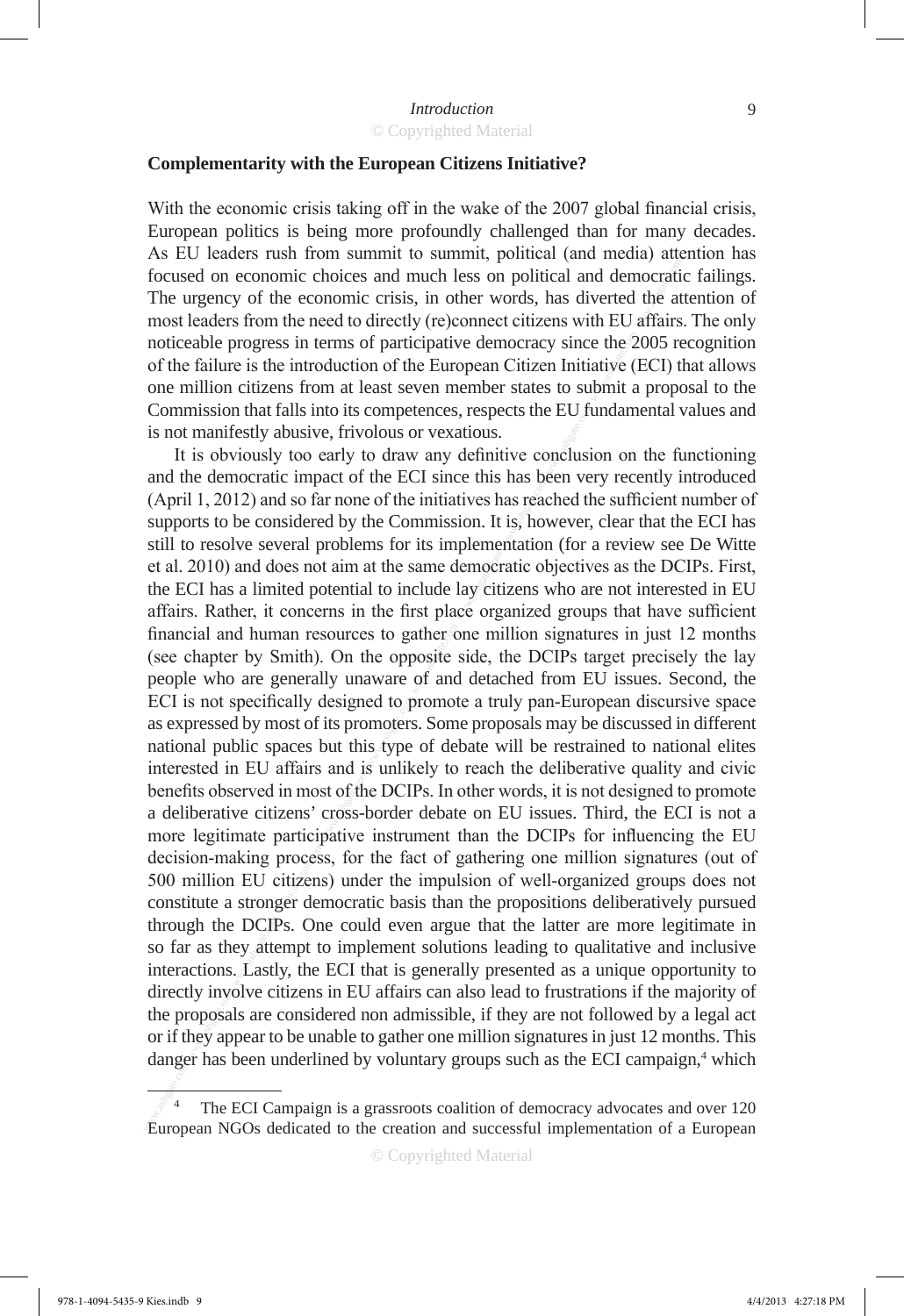#### **Complementarity with the European Citizens Initiative?**

With the economic crisis taking off in the wake of the 2007 global financial crisis, European politics is being more profoundly challenged than for many decades. As EU leaders rush from summit to summit, political (and media) attention has focused on economic choices and much less on political and democratic failings. The urgency of the economic crisis, in other words, has diverted the attention of most leaders from the need to directly (re)connect citizens with EU affairs. The only noticeable progress in terms of participative democracy since the 2005 recognition of the failure is the introduction of the European Citizen Initiative (ECI) that allows one million citizens from at least seven member states to submit a proposal to the Commission that falls into its competences, respects the EU fundamental values and is not manifestly abusive, frivolous or vexatious.

focused on economic choices and much less on political and democrati<br>The urgency of the conomic crisis, in other words, has diverted the at interaction<br>worst leaders from the need to directly (re)connect citizen swith EU a It is obviously too early to draw any definitive conclusion on the functioning and the democratic impact of the ECI since this has been very recently introduced (April 1, 2012) and so far none of the initiatives has reached the sufficient number of supports to be considered by the Commission. It is, however, clear that the ECI has still to resolve several problems for its implementation (for a review see De Witte et al. 2010) and does not aim at the same democratic objectives as the DCIPs. First, the ECI has a limited potential to include lay citizens who are not interested in EU affairs. Rather, it concerns in the first place organized groups that have sufficient financial and human resources to gather one million signatures in just 12 months (see chapter by Smith). On the opposite side, the DCIPs target precisely the lay people who are generally unaware of and detached from EU issues. Second, the ECI is not specifically designed to promote a truly pan-European discursive space as expressed by most of its promoters. Some proposals may be discussed in different national public spaces but this type of debate will be restrained to national elites interested in EU affairs and is unlikely to reach the deliberative quality and civic benefits observed in most of the DCIPs. In other words, it is not designed to promote a deliberative citizens' cross-border debate on EU issues. Third, the ECI is not a more legitimate participative instrument than the DCIPs for influencing the EU decision-making process, for the fact of gathering one million signatures (out of 500 million EU citizens) under the impulsion of well-organized groups does not constitute a stronger democratic basis than the propositions deliberatively pursued through the DCIPs. One could even argue that the latter are more legitimate in so far as they attempt to implement solutions leading to qualitative and inclusive interactions. Lastly, the ECI that is generally presented as a unique opportunity to directly involve citizens in EU affairs can also lead to frustrations if the majority of the proposals are considered non admissible, if they are not followed by a legal act or if they appear to be unable to gather one million signatures in just 12 months. This danger has been underlined by voluntary groups such as the ECI campaign,<sup>4</sup> which

The ECI Campaign is a grassroots coalition of democracy advocates and over 120 European NGOs dedicated to the creation and successful implementation of a European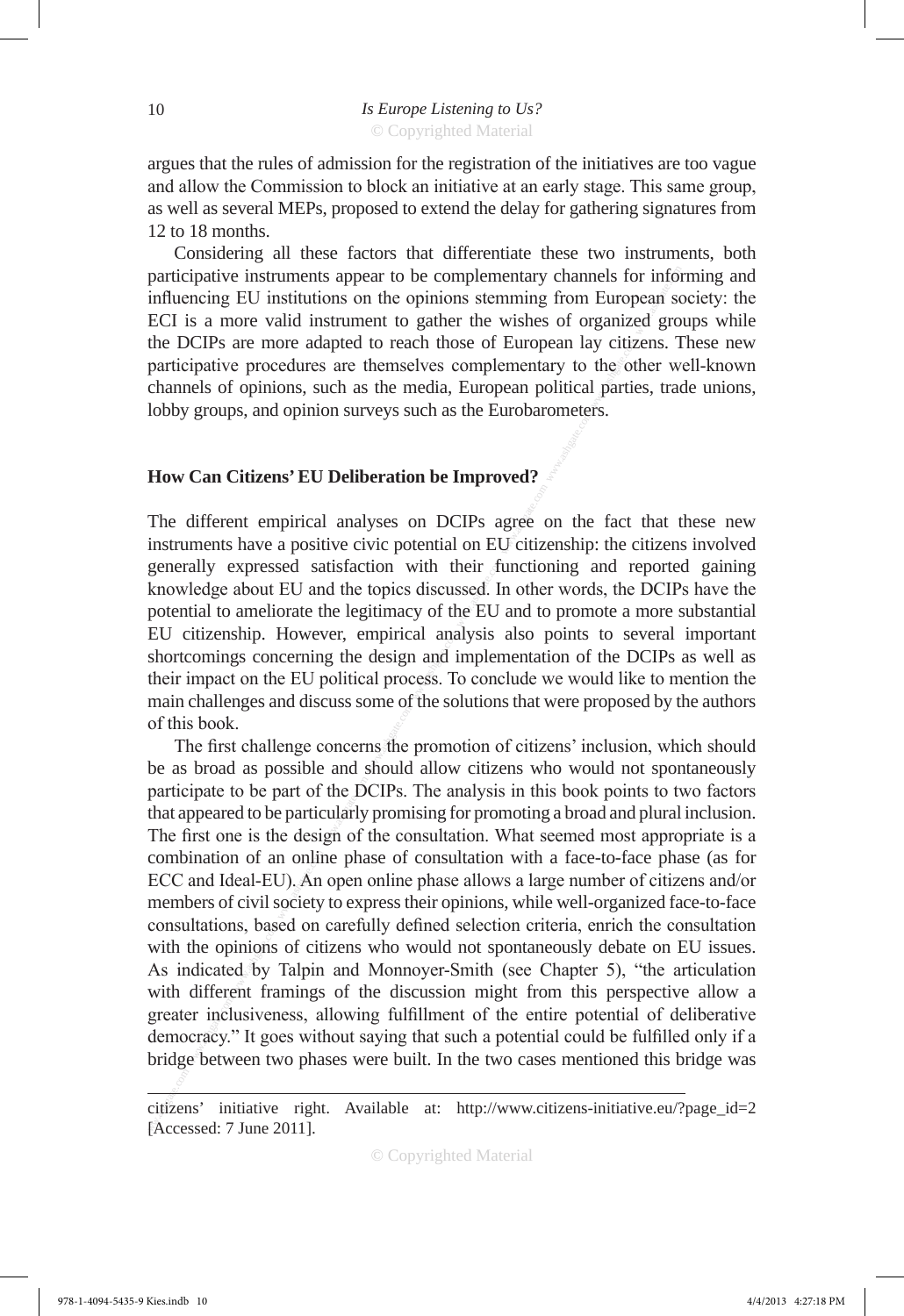argues that the rules of admission for the registration of the initiatives are too vague and allow the Commission to block an initiative at an early stage. This same group, as well as several MEPs, proposed to extend the delay for gathering signatures from 12 to 18 months.

Considering all these factors that differentiate these two instruments, both participative instruments appear to be complementary channels for informing and influencing EU institutions on the opinions stemming from European society: the ECI is a more valid instrument to gather the wishes of organized groups while the DCIPs are more adapted to reach those of European lay citizens. These new participative procedures are themselves complementary to the other well-known channels of opinions, such as the media, European political parties, trade unions, lobby groups, and opinion surveys such as the Eurobarometers.

## **How Can Citizens' EU Deliberation be Improved?**

The different empirical analyses on DCIPs agree on the fact that these new instruments have a positive civic potential on EU citizenship: the citizens involved generally expressed satisfaction with their functioning and reported gaining knowledge about EU and the topics discussed. In other words, the DCIPs have the potential to ameliorate the legitimacy of the EU and to promote a more substantial EU citizenship. However, empirical analysis also points to several important shortcomings concerning the design and implementation of the DCIPs as well as their impact on the EU political process. To conclude we would like to mention the main challenges and discuss some of the solutions that were proposed by the authors of this book.

participative instruments appear to be complementary channels for information ECI is a more valid instrument to gather the wishes of organized gro<br>
ECI is a more valid instrument to gather the wishes of organized gro<br>
part The first challenge concerns the promotion of citizens' inclusion, which should be as broad as possible and should allow citizens who would not spontaneously participate to be part of the DCIPs. The analysis in this book points to two factors that appeared to be particularly promising for promoting a broad and plural inclusion. The first one is the design of the consultation. What seemed most appropriate is a combination of an online phase of consultation with a face-to-face phase (as for ECC and Ideal-EU). An open online phase allows a large number of citizens and/or members of civil society to express their opinions, while well-organized face-to-face consultations, based on carefully defined selection criteria, enrich the consultation with the opinions of citizens who would not spontaneously debate on EU issues. As indicated by Talpin and Monnoyer-Smith (see Chapter 5), "the articulation with different framings of the discussion might from this perspective allow a greater inclusiveness, allowing fulfillment of the entire potential of deliberative democracy." It goes without saying that such a potential could be fulfilled only if a bridge between two phases were built. In the two cases mentioned this bridge was

citizens' initiative right. Available at: http://www.citizens-initiative.eu/?page\_id=2 [Accessed: 7 June 2011].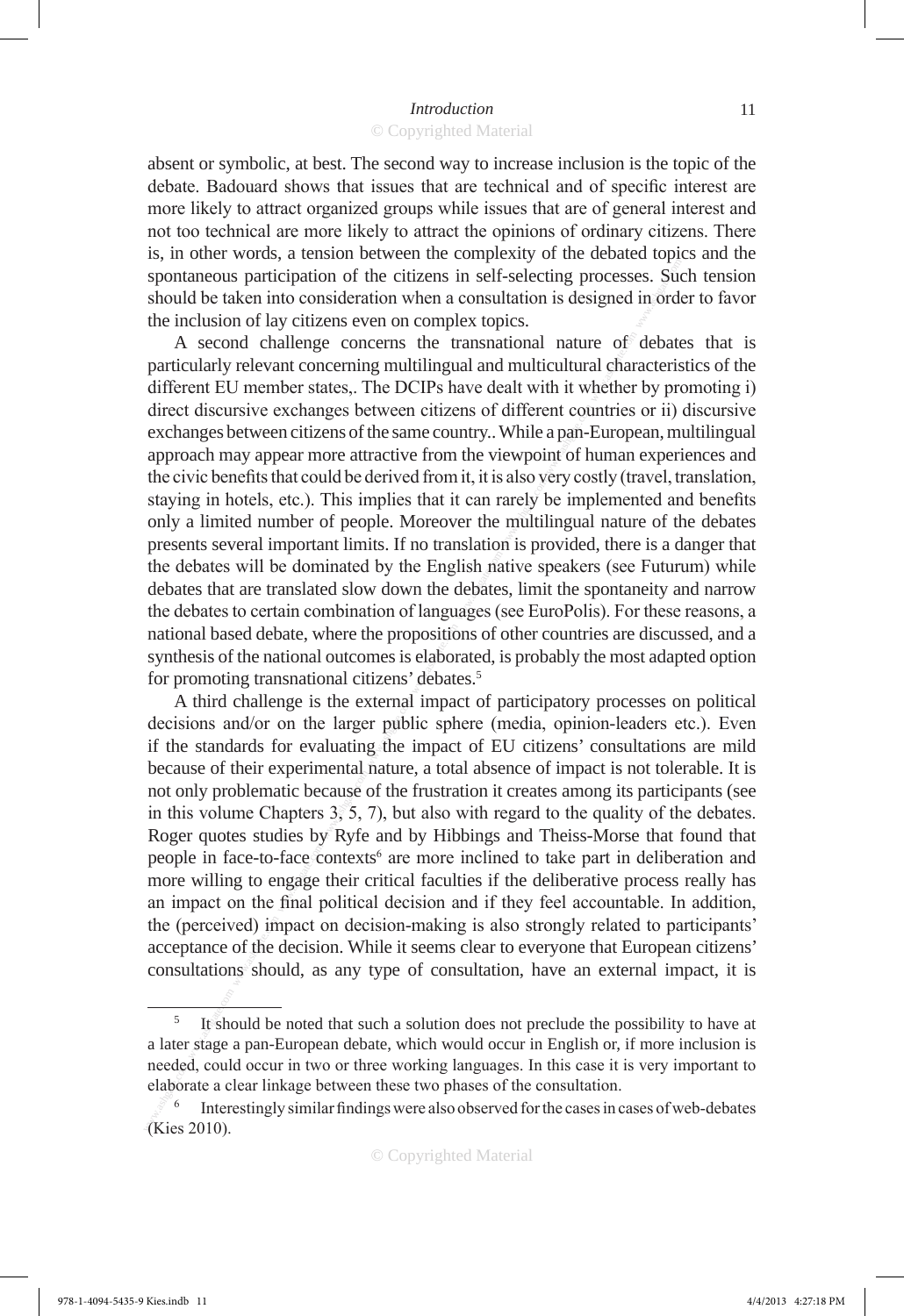absent or symbolic, at best. The second way to increase inclusion is the topic of the debate. Badouard shows that issues that are technical and of specific interest are more likely to attract organized groups while issues that are of general interest and not too technical are more likely to attract the opinions of ordinary citizens. There is, in other words, a tension between the complexity of the debated topics and the spontaneous participation of the citizens in self-selecting processes. Such tension should be taken into consideration when a consultation is designed in order to favor the inclusion of lay citizens even on complex topics.

spatialized to the comic of the citizens in self-selecting processes. Submola be taken into consideration when a consultation is designed in order when we commonly a come of the metalling particle of the metalling of desi A second challenge concerns the transnational nature of debates that is particularly relevant concerning multilingual and multicultural characteristics of the different EU member states,. The DCIPs have dealt with it whether by promoting i) direct discursive exchanges between citizens of different countries or ii) discursive exchanges between citizens of the same country.. While a pan-European, multilingual approach may appear more attractive from the viewpoint of human experiences and the civic benefits that could be derived from it, it is also very costly (travel, translation, staying in hotels, etc.). This implies that it can rarely be implemented and benefits only a limited number of people. Moreover the multilingual nature of the debates presents several important limits. If no translation is provided, there is a danger that the debates will be dominated by the English native speakers (see Futurum) while debates that are translated slow down the debates, limit the spontaneity and narrow the debates to certain combination of languages (see EuroPolis). For these reasons, a national based debate, where the propositions of other countries are discussed, and a synthesis of the national outcomes is elaborated, is probably the most adapted option for promoting transnational citizens' debates.<sup>5</sup>

A third challenge is the external impact of participatory processes on political decisions and/or on the larger public sphere (media, opinion-leaders etc.). Even if the standards for evaluating the impact of EU citizens' consultations are mild because of their experimental nature, a total absence of impact is not tolerable. It is not only problematic because of the frustration it creates among its participants (see in this volume Chapters  $3\sqrt{5}$ , 7), but also with regard to the quality of the debates. Roger quotes studies by Ryfe and by Hibbings and Theiss-Morse that found that people in face-to-face contexts<sup>6</sup> are more inclined to take part in deliberation and more willing to engage their critical faculties if the deliberative process really has an impact on the final political decision and if they feel accountable. In addition, the (perceived) impact on decision-making is also strongly related to participants' acceptance of the decision. While it seems clear to everyone that European citizens' consultations should, as any type of consultation, have an external impact, it is

<sup>5</sup> It should be noted that such a solution does not preclude the possibility to have at a later stage a pan-European debate, which would occur in English or, if more inclusion is needed, could occur in two or three working languages. In this case it is very important to elaborate a clear linkage between these two phases of the consultation.<br><sup>6</sup> Interestingly similar findings were also observed for the cases in cases of web-debates

<sup>(</sup>Kies 2010).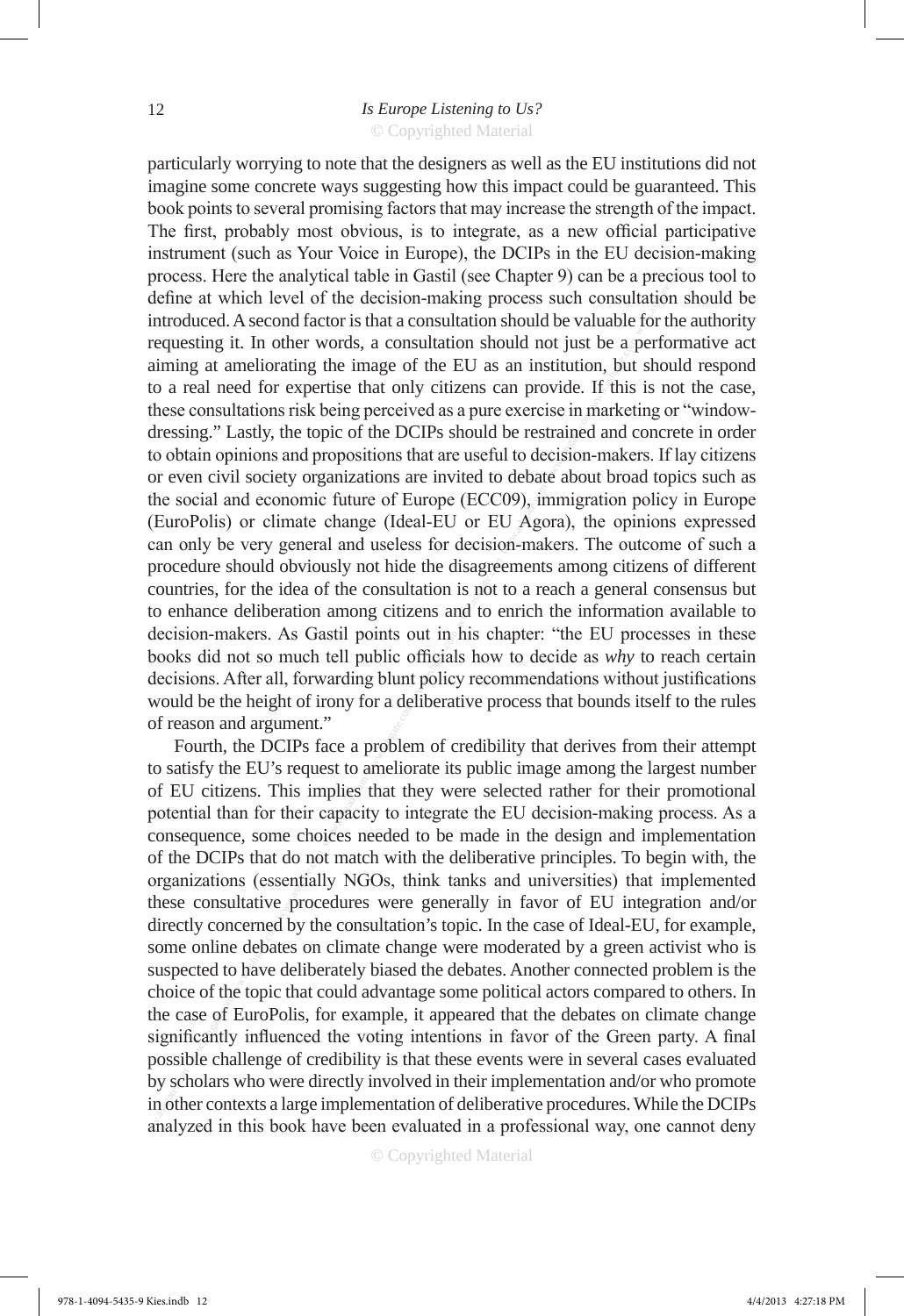process. Here the analytical table in Gastil (see Chapter 9) can be a derived<br>introduced. A second factor is that a consultation should be valuable for the<br>mediation (and the derivale, a consultation should not just be a p particularly worrying to note that the designers as well as the EU institutions did not imagine some concrete ways suggesting how this impact could be guaranteed. This book points to several promising factors that may increase the strength of the impact. The first, probably most obvious, is to integrate, as a new official participative instrument (such as Your Voice in Europe), the DCIPs in the EU decision-making process. Here the analytical table in Gastil (see Chapter 9) can be a precious tool to define at which level of the decision-making process such consultation should be introduced. A second factor is that a consultation should be valuable for the authority requesting it. In other words, a consultation should not just be a performative act aiming at ameliorating the image of the EU as an institution, but should respond to a real need for expertise that only citizens can provide. If this is not the case, these consultations risk being perceived as a pure exercise in marketing or "windowdressing." Lastly, the topic of the DCIPs should be restrained and concrete in order to obtain opinions and propositions that are useful to decision-makers. If lay citizens or even civil society organizations are invited to debate about broad topics such as the social and economic future of Europe (ECC09), immigration policy in Europe (EuroPolis) or climate change (Ideal-EU or EU Agora), the opinions expressed can only be very general and useless for decision-makers. The outcome of such a procedure should obviously not hide the disagreements among citizens of different countries, for the idea of the consultation is not to a reach a general consensus but to enhance deliberation among citizens and to enrich the information available to decision-makers. As Gastil points out in his chapter: "the EU processes in these books did not so much tell public officials how to decide as *why* to reach certain decisions. After all, forwarding blunt policy recommendations without justifications would be the height of irony for a deliberative process that bounds itself to the rules of reason and argument."

Fourth, the DCIPs face a problem of credibility that derives from their attempt to satisfy the EU's request to ameliorate its public image among the largest number of EU citizens. This implies that they were selected rather for their promotional potential than for their capacity to integrate the EU decision-making process. As a consequence, some choices needed to be made in the design and implementation of the DCIPs that do not match with the deliberative principles. To begin with, the organizations (essentially NGOs, think tanks and universities) that implemented these consultative procedures were generally in favor of EU integration and/or directly concerned by the consultation's topic. In the case of Ideal-EU, for example, some online debates on climate change were moderated by a green activist who is suspected to have deliberately biased the debates. Another connected problem is the choice of the topic that could advantage some political actors compared to others. In the case of EuroPolis, for example, it appeared that the debates on climate change significantly influenced the voting intentions in favor of the Green party. A final possible challenge of credibility is that these events were in several cases evaluated by scholars who were directly involved in their implementation and/or who promote in other contexts a large implementation of deliberative procedures. While the DCIPs analyzed in this book have been evaluated in a professional way, one cannot deny

© Copyrighted Material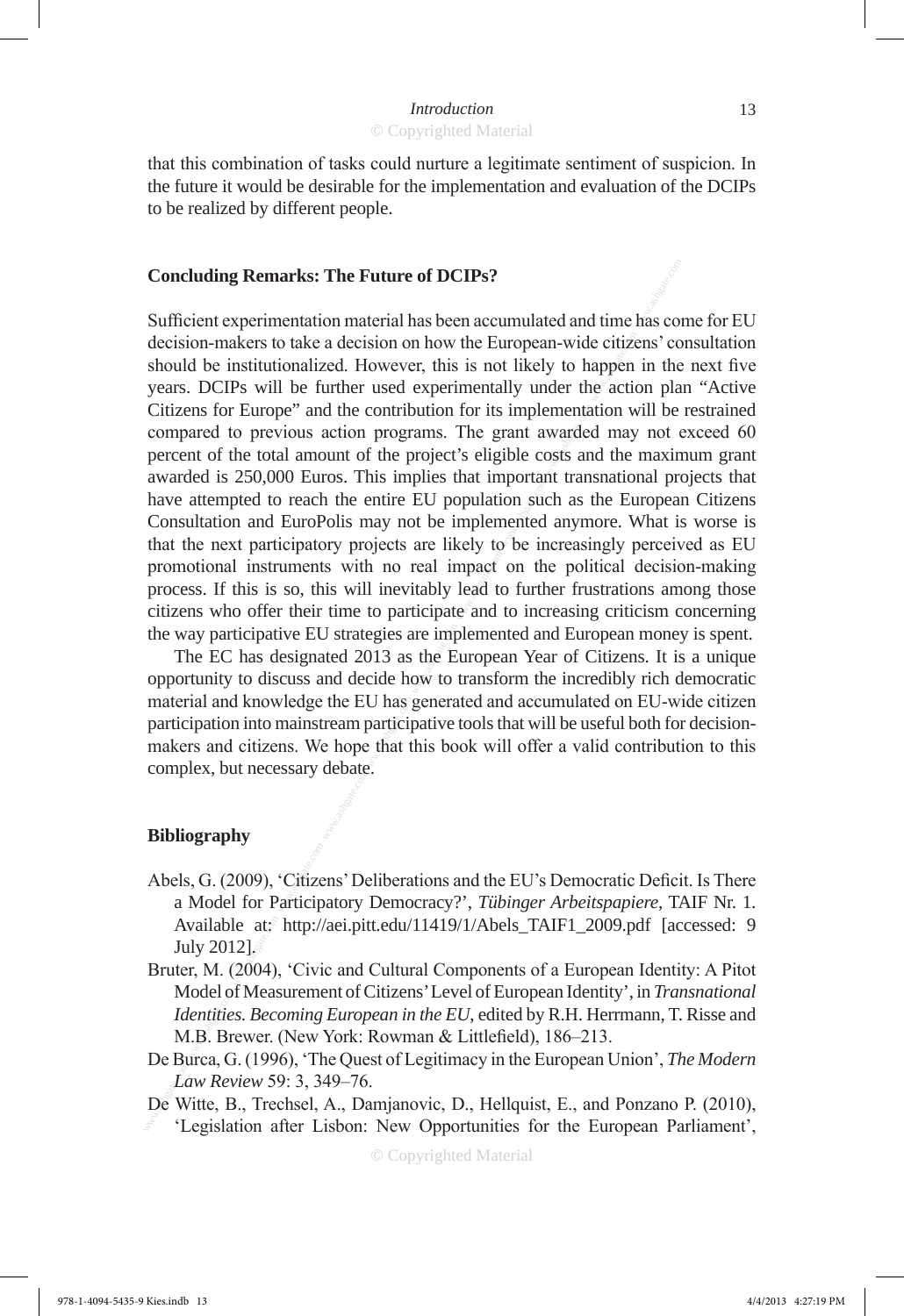that this combination of tasks could nurture a legitimate sentiment of suspicion. In the future it would be desirable for the implementation and evaluation of the DCIPs to be realized by different people.

## **Concluding Remarks: The Future of DCIPs?**

**Concluding Remarks: The Future of DCIPs?**<br>
Sufficient experimentation material has been accumulated and time has conclusion as should be institutionalized. However, this is not likely to happen in the should be instituti Sufficient experimentation material has been accumulated and time has come for EU decision-makers to take a decision on how the European-wide citizens' consultation should be institutionalized. However, this is not likely to happen in the next five years. DCIPs will be further used experimentally under the action plan "Active Citizens for Europe" and the contribution for its implementation will be restrained compared to previous action programs. The grant awarded may not exceed 60 percent of the total amount of the project's eligible costs and the maximum grant awarded is 250,000 Euros. This implies that important transnational projects that have attempted to reach the entire EU population such as the European Citizens Consultation and EuroPolis may not be implemented anymore. What is worse is that the next participatory projects are likely to be increasingly perceived as EU promotional instruments with no real impact on the political decision-making process. If this is so, this will inevitably lead to further frustrations among those citizens who offer their time to participate and to increasing criticism concerning the way participative EU strategies are implemented and European money is spent.

The EC has designated 2013 as the European Year of Citizens. It is a unique opportunity to discuss and decide how to transform the incredibly rich democratic material and knowledge the EU has generated and accumulated on EU-wide citizen participation into mainstream participative tools that will be useful both for decisionmakers and citizens. We hope that this book will offer a valid contribution to this complex, but necessary debate.

#### **Bibliography**

- Abels, G. (2009), 'Citizens' Deliberations and the EU's Democratic Deficit. Is There a Model for Participatory Democracy?', *Tübinger Arbeitspapiere*, TAIF Nr. 1. Available ats http://aei.pitt.edu/11419/1/Abels\_TAIF1\_2009.pdf [accessed: 9 July 2012].
- Bruter, M. (2004), 'Civic and Cultural Components of a European Identity: A Pitot Model of Measurement of Citizens' Level of European Identity', in *Transnational Identities. Becoming European in the EU*, edited by R.H. Herrmann, T. Risse and M.B. Brewer. (New York: Rowman & Littlefield), 186–213.
- De Burca, G. (1996), 'The Quest of Legitimacy in the European Union', *The Modern Law Review* 59: 3, 349–76.
- De Witte, B., Trechsel, A., Damjanovic, D., Hellquist, E., and Ponzano P. (2010), 'Legislation after Lisbon: New Opportunities for the European Parliament',